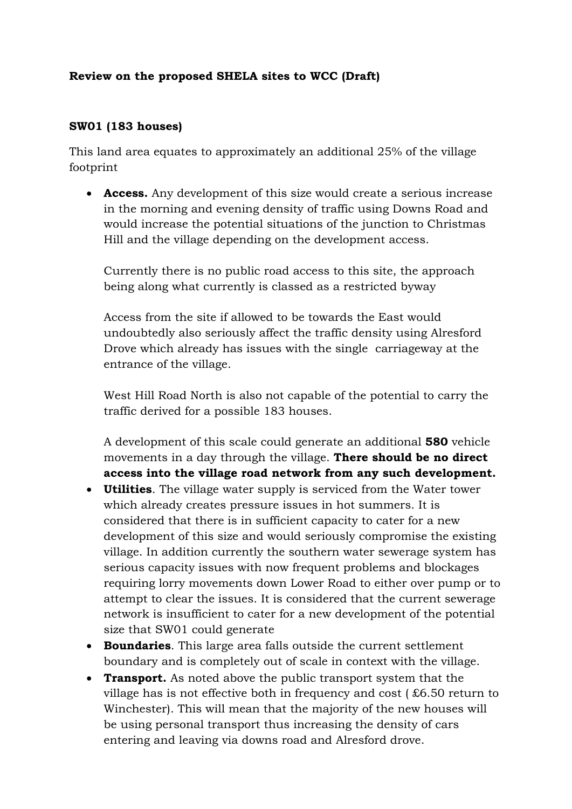# **Review on the proposed SHELA sites to WCC (Draft)**

#### **SW01 (183 houses)**

This land area equates to approximately an additional 25% of the village footprint

 **Access.** Any development of this size would create a serious increase in the morning and evening density of traffic using Downs Road and would increase the potential situations of the junction to Christmas Hill and the village depending on the development access.

Currently there is no public road access to this site, the approach being along what currently is classed as a restricted byway

Access from the site if allowed to be towards the East would undoubtedly also seriously affect the traffic density using Alresford Drove which already has issues with the single carriageway at the entrance of the village.

West Hill Road North is also not capable of the potential to carry the traffic derived for a possible 183 houses.

A development of this scale could generate an additional **580** vehicle movements in a day through the village. **There should be no direct access into the village road network from any such development.**

- **Utilities**. The village water supply is serviced from the Water tower which already creates pressure issues in hot summers. It is considered that there is in sufficient capacity to cater for a new development of this size and would seriously compromise the existing village. In addition currently the southern water sewerage system has serious capacity issues with now frequent problems and blockages requiring lorry movements down Lower Road to either over pump or to attempt to clear the issues. It is considered that the current sewerage network is insufficient to cater for a new development of the potential size that SW01 could generate
- **Boundaries**. This large area falls outside the current settlement boundary and is completely out of scale in context with the village.
- **Transport.** As noted above the public transport system that the village has is not effective both in frequency and cost ( £6.50 return to Winchester). This will mean that the majority of the new houses will be using personal transport thus increasing the density of cars entering and leaving via downs road and Alresford drove.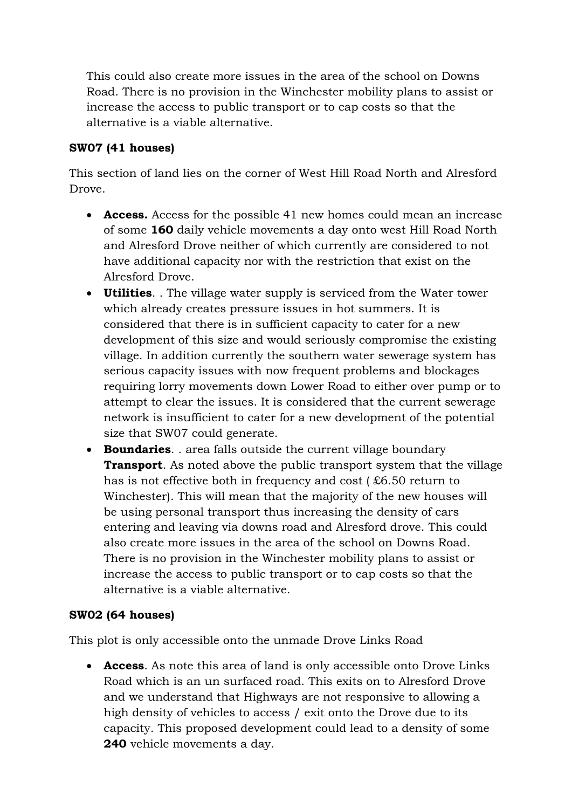This could also create more issues in the area of the school on Downs Road. There is no provision in the Winchester mobility plans to assist or increase the access to public transport or to cap costs so that the alternative is a viable alternative.

## **SW07 (41 houses)**

This section of land lies on the corner of West Hill Road North and Alresford Drove.

- **Access.** Access for the possible 41 new homes could mean an increase of some **160** daily vehicle movements a day onto west Hill Road North and Alresford Drove neither of which currently are considered to not have additional capacity nor with the restriction that exist on the Alresford Drove.
- **Utilities**. . The village water supply is serviced from the Water tower which already creates pressure issues in hot summers. It is considered that there is in sufficient capacity to cater for a new development of this size and would seriously compromise the existing village. In addition currently the southern water sewerage system has serious capacity issues with now frequent problems and blockages requiring lorry movements down Lower Road to either over pump or to attempt to clear the issues. It is considered that the current sewerage network is insufficient to cater for a new development of the potential size that SW07 could generate.
- **Boundaries**. . area falls outside the current village boundary **Transport**. As noted above the public transport system that the village has is not effective both in frequency and cost ( £6.50 return to Winchester). This will mean that the majority of the new houses will be using personal transport thus increasing the density of cars entering and leaving via downs road and Alresford drove. This could also create more issues in the area of the school on Downs Road. There is no provision in the Winchester mobility plans to assist or increase the access to public transport or to cap costs so that the alternative is a viable alternative.

### **SW02 (64 houses)**

This plot is only accessible onto the unmade Drove Links Road

 **Access**. As note this area of land is only accessible onto Drove Links Road which is an un surfaced road. This exits on to Alresford Drove and we understand that Highways are not responsive to allowing a high density of vehicles to access / exit onto the Drove due to its capacity. This proposed development could lead to a density of some **240** vehicle movements a day.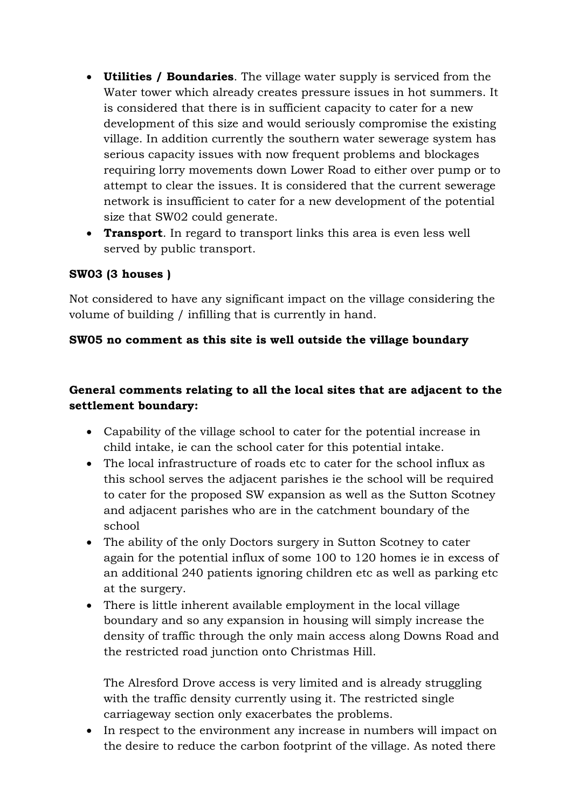- **Utilities / Boundaries**. The village water supply is serviced from the Water tower which already creates pressure issues in hot summers. It is considered that there is in sufficient capacity to cater for a new development of this size and would seriously compromise the existing village. In addition currently the southern water sewerage system has serious capacity issues with now frequent problems and blockages requiring lorry movements down Lower Road to either over pump or to attempt to clear the issues. It is considered that the current sewerage network is insufficient to cater for a new development of the potential size that SW02 could generate.
- **Transport**. In regard to transport links this area is even less well served by public transport.

## **SW03 (3 houses )**

Not considered to have any significant impact on the village considering the volume of building / infilling that is currently in hand.

### **SW05 no comment as this site is well outside the village boundary**

# **General comments relating to all the local sites that are adjacent to the settlement boundary:**

- Capability of the village school to cater for the potential increase in child intake, ie can the school cater for this potential intake.
- The local infrastructure of roads etc to cater for the school influx as this school serves the adjacent parishes ie the school will be required to cater for the proposed SW expansion as well as the Sutton Scotney and adjacent parishes who are in the catchment boundary of the school
- The ability of the only Doctors surgery in Sutton Scotney to cater again for the potential influx of some 100 to 120 homes ie in excess of an additional 240 patients ignoring children etc as well as parking etc at the surgery.
- There is little inherent available employment in the local village boundary and so any expansion in housing will simply increase the density of traffic through the only main access along Downs Road and the restricted road junction onto Christmas Hill.

The Alresford Drove access is very limited and is already struggling with the traffic density currently using it. The restricted single carriageway section only exacerbates the problems.

• In respect to the environment any increase in numbers will impact on the desire to reduce the carbon footprint of the village. As noted there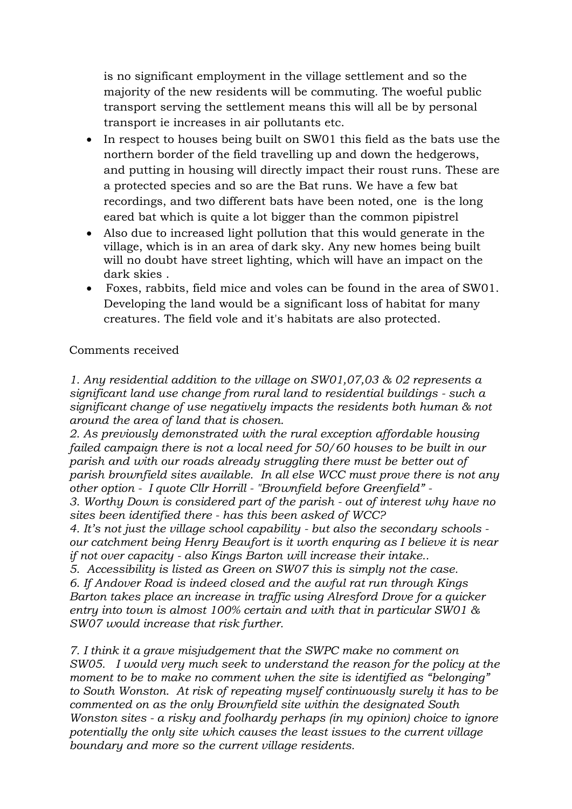is no significant employment in the village settlement and so the majority of the new residents will be commuting. The woeful public transport serving the settlement means this will all be by personal transport ie increases in air pollutants etc.

- In respect to houses being built on SW01 this field as the bats use the northern border of the field travelling up and down the hedgerows, and putting in housing will directly impact their roust runs. These are a protected species and so are the Bat runs. We have a few bat recordings, and two different bats have been noted, one is the long eared bat which is quite a lot bigger than the common pipistrel
- Also due to increased light pollution that this would generate in the village, which is in an area of dark sky. Any new homes being built will no doubt have street lighting, which will have an impact on the dark skies .
- Foxes, rabbits, field mice and voles can be found in the area of SW01. Developing the land would be a significant loss of habitat for many creatures. The field vole and it's habitats are also protected.

#### Comments received

*1. Any residential addition to the village on SW01,07,03 & 02 represents a significant land use change from rural land to residential buildings - such a significant change of use negatively impacts the residents both human & not around the area of land that is chosen.*

*2. As previously demonstrated with the rural exception affordable housing failed campaign there is not a local need for 50/60 houses to be built in our parish and with our roads already struggling there must be better out of parish brownfield sites available. In all else WCC must prove there is not any other option - I quote Cllr Horrill - "Brownfield before Greenfield" -*

*3. Worthy Down is considered part of the parish - out of interest why have no sites been identified there - has this been asked of WCC?*

*4. It's not just the village school capability - but also the secondary schools our catchment being Henry Beaufort is it worth enquring as I believe it is near if not over capacity - also Kings Barton will increase their intake..*

*5. Accessibility is listed as Green on SW07 this is simply not the case. 6. If Andover Road is indeed closed and the awful rat run through Kings Barton takes place an increase in traffic using Alresford Drove for a quicker entry into town is almost 100% certain and with that in particular SW01 & SW07 would increase that risk further.*

*7. I think it a grave misjudgement that the SWPC make no comment on SW05. I would very much seek to understand the reason for the policy at the moment to be to make no comment when the site is identified as "belonging" to South Wonston. At risk of repeating myself continuously surely it has to be commented on as the only Brownfield site within the designated South Wonston sites - a risky and foolhardy perhaps (in my opinion) choice to ignore potentially the only site which causes the least issues to the current village boundary and more so the current village residents.*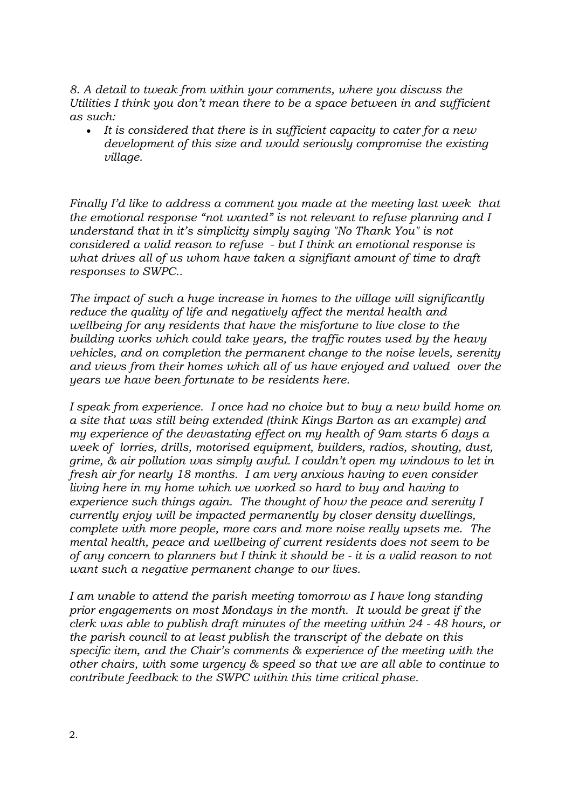*8. A detail to tweak from within your comments, where you discuss the Utilities I think you don't mean there to be a space between in and sufficient as such:*

 *It is considered that there is in sufficient capacity to cater for a new development of this size and would seriously compromise the existing village.*

*Finally I'd like to address a comment you made at the meeting last week that the emotional response "not wanted" is not relevant to refuse planning and I understand that in it's simplicity simply saying "No Thank You" is not considered a valid reason to refuse - but I think an emotional response is what drives all of us whom have taken a signifiant amount of time to draft responses to SWPC..* 

*The impact of such a huge increase in homes to the village will significantly reduce the quality of life and negatively affect the mental health and wellbeing for any residents that have the misfortune to live close to the building works which could take years, the traffic routes used by the heavy vehicles, and on completion the permanent change to the noise levels, serenity and views from their homes which all of us have enjoyed and valued over the years we have been fortunate to be residents here.* 

*I speak from experience. I once had no choice but to buy a new build home on a site that was still being extended (think Kings Barton as an example) and my experience of the devastating effect on my health of 9am starts 6 days a week of lorries, drills, motorised equipment, builders, radios, shouting, dust, grime, & air pollution was simply awful. I couldn't open my windows to let in fresh air for nearly 18 months. I am very anxious having to even consider living here in my home which we worked so hard to buy and having to experience such things again. The thought of how the peace and serenity I currently enjoy will be impacted permanently by closer density dwellings, complete with more people, more cars and more noise really upsets me. The mental health, peace and wellbeing of current residents does not seem to be of any concern to planners but I think it should be - it is a valid reason to not want such a negative permanent change to our lives.*

*I am unable to attend the parish meeting tomorrow as I have long standing prior engagements on most Mondays in the month. It would be great if the clerk was able to publish draft minutes of the meeting within 24 - 48 hours, or the parish council to at least publish the transcript of the debate on this specific item, and the Chair's comments & experience of the meeting with the other chairs, with some urgency & speed so that we are all able to continue to contribute feedback to the SWPC within this time critical phase.*